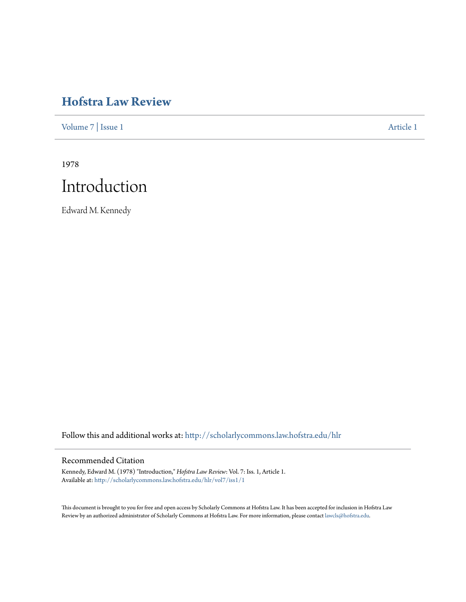## **[Hofstra Law Review](http://scholarlycommons.law.hofstra.edu/hlr?utm_source=scholarlycommons.law.hofstra.edu%2Fhlr%2Fvol7%2Fiss1%2F1&utm_medium=PDF&utm_campaign=PDFCoverPages)**

[Volume 7](http://scholarlycommons.law.hofstra.edu/hlr/vol7?utm_source=scholarlycommons.law.hofstra.edu%2Fhlr%2Fvol7%2Fiss1%2F1&utm_medium=PDF&utm_campaign=PDFCoverPages) | [Issue 1](http://scholarlycommons.law.hofstra.edu/hlr/vol7/iss1?utm_source=scholarlycommons.law.hofstra.edu%2Fhlr%2Fvol7%2Fiss1%2F1&utm_medium=PDF&utm_campaign=PDFCoverPages) [Article 1](http://scholarlycommons.law.hofstra.edu/hlr/vol7/iss1/1?utm_source=scholarlycommons.law.hofstra.edu%2Fhlr%2Fvol7%2Fiss1%2F1&utm_medium=PDF&utm_campaign=PDFCoverPages)

1978

# Introduction

Edward M. Kennedy

Follow this and additional works at: [http://scholarlycommons.law.hofstra.edu/hlr](http://scholarlycommons.law.hofstra.edu/hlr?utm_source=scholarlycommons.law.hofstra.edu%2Fhlr%2Fvol7%2Fiss1%2F1&utm_medium=PDF&utm_campaign=PDFCoverPages)

#### Recommended Citation

Kennedy, Edward M. (1978) "Introduction," *Hofstra Law Review*: Vol. 7: Iss. 1, Article 1. Available at: [http://scholarlycommons.law.hofstra.edu/hlr/vol7/iss1/1](http://scholarlycommons.law.hofstra.edu/hlr/vol7/iss1/1?utm_source=scholarlycommons.law.hofstra.edu%2Fhlr%2Fvol7%2Fiss1%2F1&utm_medium=PDF&utm_campaign=PDFCoverPages)

This document is brought to you for free and open access by Scholarly Commons at Hofstra Law. It has been accepted for inclusion in Hofstra Law Review by an authorized administrator of Scholarly Commons at Hofstra Law. For more information, please contact [lawcls@hofstra.edu](mailto:lawcls@hofstra.edu).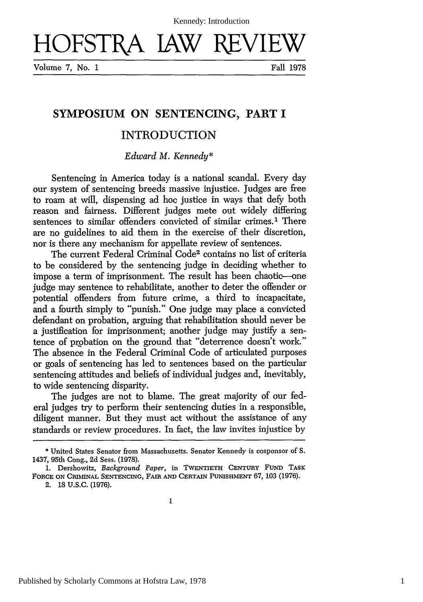HOFSTRA IAW REVIE

Volume 7, No. 1 Fall 1978

### **SYMPOSIUM ON SENTENCING, PART I**

#### INTRODUCTION

*Edward M. Kennedy\**

Sentencing in America today is a national scandal. Every day our system of sentencing breeds massive injustice. Judges are free to roam at will, dispensing ad hoc justice in ways that defy both reason and fairness. Different judges mete out widely differing sentences to similar offenders convicted of similar crimes.<sup>1</sup> There are no guidelines to aid them in the exercise of their discretion, nor is there any mechanism for appellate review of sentences.

The current Federal Criminal Code2 contains no list of criteria to be considered by the sentencing judge in deciding whether to impose a term of imprisonment. The result has been chaotic—one judge may sentence to rehabilitate, another to deter the offender or potential offenders from future crime, a third to incapacitate, and a fourth simply to "punish." One judge may place a convicted defendant on probation, arguing that rehabilitation should never be a justification for imprisonment; another judge may justify a sentence of probation on the ground that "deterrence doesn't work." The absence in the Federal Criminal Code of articulated purposes or goals of sentencing has led to sentences based on the particular sentencing attitudes and beliefs of individual judges and, inevitably, to wide sentencing disparity.

The judges are not to blame. The great majority of our federal judges try to perform their sentencing duties in a responsible, diligent manner. But they must act without the assistance of any standards or review procedures. In fact, the law invites injustice by

2. 18 U.S.C. (1976).

<sup>\*</sup> United States Senator from Massachusetts. Senator Kennedy is cosponsor of S. 1437, 95th Cong., 2d Sess. (1978).

**<sup>1.</sup>** Dershowitz, *Background Paper,* in **TWENTIETH** CENTURY FUND TASK **FORCE ON CRIMINAL SENTENCING,** FAIR **AND** CERTAIN **PUNISHMENT** 67, 103 (1976).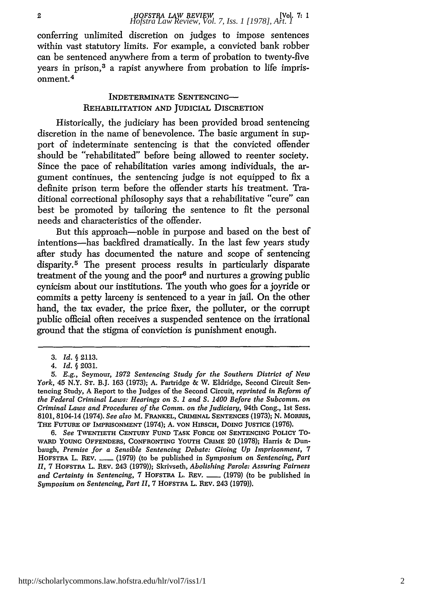conferring unlimited discretion on judges to impose sentences within vast statutory limits. For example, a convicted bank robber can be sentenced anywhere from a term of probation to twenty-five years in prison,3 a rapist anywhere from probation to life imprisonment. 4

#### INDETERMINATE SENTENCING-REHABILITATION AND JUDICIAL DISCRETION

Historically, the judiciary has been provided broad sentencing discretion in the name of benevolence. The basic argument in support of indeterminate sentencing is that the convicted offender should be "rehabilitated" before being allowed to reenter society. Since the pace of rehabilitation varies among individuals, the argument continues, the sentencing judge is not equipped to fix a definite prison term before the offender starts his treatment. Traditional correctional philosophy says that a rehabilitative "cure" can best be promoted by tailoring the sentence to fit the personal needs and characteristics of the offender.

But this approach-noble in purpose and based on the best of intentions-has backfired dramatically. In the last few years study after study has documented the nature and scope of sentencing disparity.<sup>5</sup> The present process results in particularly disparate treatment of the young and the poor<sup>6</sup> and nurtures a growing public cynicism about our institutions. The youth who goes for a joyride or commits a petty larceny is sentenced to a year in jail. On the other hand, the tax evader, the price fixer, the polluter, or the corrupt public official often receives a suspended sentence on the irrational ground that the stigma of conviction is punishment enough.

*6. See* TWENTIETH CENTURY **FUND TASK FORCE ON SENTENCING POLICY** To-WARD **YOUNG OFFENDERS, CONFRONTING YOUTH** CRIME 20 (1978); Harris & Dunbaugh, *Premise for a Sensible Sentencing Debate: Giving Up Imprisonment, 7* HOFSTRA L. REV. **-** (1979) (to be published in *Symposium on Sentencing, Part 1I,* 7 **HOFSTRA** L. REV. 243 (1979)); Skrivseth, *Abolishing Parole: Assuring Fairness and Certainty in Sentencing, 7 HOFSTRA L. REV.* \_\_\_\_ (1979) (to be published in *Symposium on Sentencing, Part II,* 7 HOFSTnA L. REV. 243 (1979)).

*<sup>3.</sup> Id. §* **2113.**

*<sup>4.</sup> Id. §* **2031.**

<sup>5.</sup> *E.g.,* Seymour, *1972 Sentencing Study for the Southern District of New York,* 45 N.Y. **ST.** B.J. 163 (1973); A. Partridge & W. Eldridge, Second Circuit Sentencing Study, A Report to the Judges of the Second Circuit, *reprinted in Reform of the Federal Criminal Laws: Hearings on S. 1 and S. 1400 Before the Subcomm. on Criminal Laws and Procedures of the Comm. on the Judiciary,* 94th Cong., 1st Sess. 8101, 8104-14 (1974). *See also* M. FRANKEL, **CRIMINAL SENTENCES** (1973); N. MORIUS, **THE FUTURE OF IMPRISONMENT** (1974); A. **VON HIRSCH, DOING JUSTICE (1976).**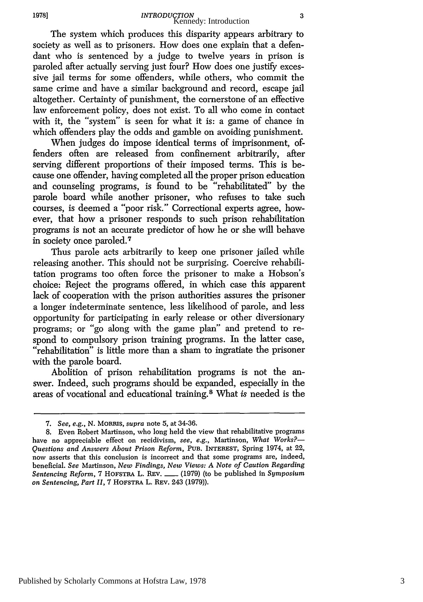The system which produces this disparity appears arbitrary to society as well as to prisoners. How does one explain that a defendant who is sentenced by a judge to twelve years in prison is paroled after actually serving just four? How does one justify excessive jail terms for some offenders, while others, who commit the same crime and have a similar background and record, escape jail altogether. Certainty of punishment, the cornerstone of an effective law enforcement policy, does not exist. To all who come in contact with it, the "system" is seen for what it is: a game of chance in which offenders play the odds and gamble on avoiding punishment.

When judges do impose identical terms of imprisonment, offenders often are released from confinement arbitrarily, after serving different proportions of their imposed terms. This is because one offender, having completed all the proper prison education and counseling programs, is found to be "rehabilitated" by the parole board while another prisoner, who refuses to take such courses, is deemed a "poor risk." Correctional experts agree, however, that how a prisoner responds to such prison rehabilitation programs is not an accurate predictor of how he or she will behave in society once paroled. <sup>7</sup>

Thus parole acts arbitrarily to keep one prisoner jailed while releasing another. This should not be surprising. Coercive rehabilitation programs too often force the prisoner to make a Hobson's choice: Reject the programs offered, in which case this apparent lack of cooperation with the prison authorities assures the prisoner a longer indeterminate sentence, less likelihood of parole, and less opportunity for participating in early release or other diversionary programs; or "go along with the game plan" and pretend to respond to compulsory prison training programs. In the latter case, "rehabilitation" is little more than a sham to ingratiate the prisoner with the parole board.

Abolition of prison rehabilitation programs is not the answer. Indeed, such programs should be expanded, especially in the areas of vocational and educational training.8 What *is* needed is the

<sup>7.</sup> *See, e.g.,* N. MoRms, supra note 5, at 34-36.

<sup>8.</sup> Even Robert Martinson, who long held the view that rehabilitative programs have no appreciable effect on recidivism, *see,* e.g., Martinson, *What Works?- Questions and Answers About Prison Reform,* **PUB. INTEREST,** Spring 1974, at 22, now asserts that this conclusion is incorrect and that some programs are, indeed, beneficial. *See* Martinson, *New Findings, New Views: A Note of Caution Regarding Sentencing Reform,* 7 HOFSTRA L. REV. **-** (1979) (to be published in *Symposium on Sentencing, Part II,* 7 HOFSTRA L. REv. 243 (1979)).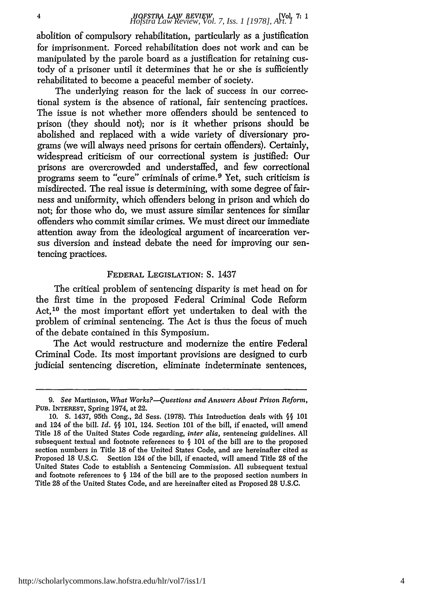abolition of compulsory rehabilitation, particularly as a justification for imprisonment. Forced rehabilitation does not work and can be manipulated by the parole board as a justification for retaining custody of a prisoner until it determines that he or she is sufficiently rehabilitated to become a peaceful member of society.

The underlying reason for the lack of success in our correctional system is the absence of rational, fair sentencing practices. The issue is not whether more offenders should be sentenced to prison (they should not); nor is it whether prisons should be abolished and replaced with a wide variety of diversionary programs (we will always need prisons for certain offenders). Certainly, widespread criticism of our correctional system is justified: Our prisons are overcrowded and understaffed, and few correctional programs seem to "cure" criminals of crime. 9 Yet, such criticism is misdirected. The real issue is determining, with some degree of fairness and uniformity, which offenders belong in prison and which do not; for those who do, we must assure similar sentences for similar offenders who commit similar crimes. We must direct our immediate attention away from the ideological argument of incarceration versus diversion and instead debate the need for improving our sentencing practices.

#### FEDERAL LEGISLATION: S. 1437

The critical problem of sentencing disparity is met head on for the first time in the proposed Federal Criminal Code Reform Act, 10 the most important effort yet undertaken to deal with the problem of criminal sentencing. The Act is thus the focus of much of the debate contained in this Symposium.

The Act would restructure and modernize the entire Federal Criminal Code. Its most important provisions are designed to curb judicial sentencing discretion, eliminate indeterminate sentences,

<sup>9.</sup> *See* Martinson, *What Works?--Questions and Answers About Prison Reform,* PUB. INTEREST, Spring 1974, at 22.

<sup>10.</sup> **S.** 1437, 95th Cong., 2d Sess. (1978). This Introduction deals with **§§** 101 and 124 of the bill. *Id. §§* 101, 124. Section 101 of the bill, if enacted, will amend Title 18 of the United States Code regarding, *inter alia,* sentencing guidelines. All subsequent textual and footnote references to  $\S$  101 of the bill are to the proposed section numbers in Title 18 of the United States Code, and are hereinafter cited as Proposed 18 U.S.C. Section 124 of the bill, if enacted, will amend Title 28 of the United States Code to establish a Sentencing Commission. All subsequent textual and footnote references to  $\S$  124 of the bill are to the proposed section numbers in Title 28 of the United States Code, and are hereinafter cited as Proposed 28 U.S.C.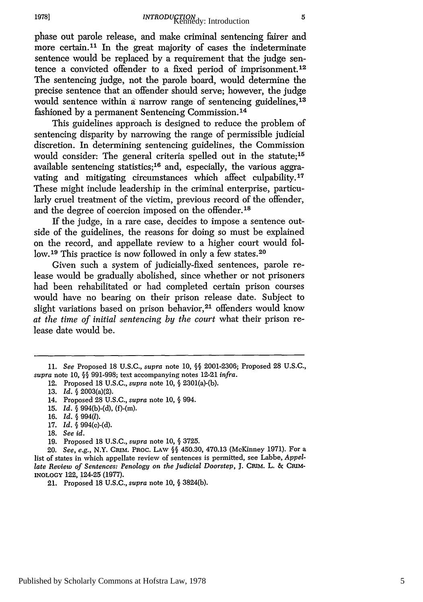phase out parole release, and make criminal sentencing fairer and more certain.<sup>11</sup> In the great majority of cases the indeterminate sentence would be replaced by a requirement that the judge sentence a convicted offender to a fixed period of imprisonment.<sup>12</sup> The sentencing judge, not the parole board, would determine the precise sentence that an offender should serve; however, the judge would sentence within a narrow range of sentencing guidelines,<sup>13</sup> fashioned by a permanent Sentencing Commission.<sup>14</sup>

This guidelines approach is designed to reduce the problem of sentencing disparity by narrowing the range of permissible judicial discretion. In determining sentencing guidelines, the Commission would consider: The general criteria spelled out in the statute:<sup>15</sup> available sentencing statistics;<sup>16</sup> and, especially, the various aggravating and mitigating circumstances which affect culpability.<sup>17</sup> These might include leadership in the criminal enterprise, particularly cruel treatment of the victim, previous record of the offender, and the degree of coercion imposed on the offender.<sup>18</sup>

If the judge, in a rare case, decides to impose a sentence outside of the guidelines, the reasons for doing so must be explained on the record, and appellate review to a higher court would follow.<sup>19</sup> This practice is now followed in only a few states.<sup>20</sup>

Given such a system of judicially-fixed sentences, parole release would be gradually abolished, since whether or not prisoners had been rehabilitated or had completed certain prison courses would have no bearing on their prison release date. Subject to slight variations based on prison behavior,<sup>21</sup> offenders would know *at the time of initial sentencing by the court* what their prison release date would be.

- 14. Proposed 28 U.S.C., *supra* note 10, § 994.
- 15. *Id.* § 994(b)-(d), (f)-(m).
- 16. *Id.* § 994(l).
- 17. *Id.* § 994(c)-(d).
- 18. *See id.*
- 19. Proposed 18 U.S.C., *supra* note 10, § 3725.

<sup>11.</sup> *See* Proposed 18 U.S.C., *supra* note 10, **§§** 2001-2306; Proposed 28 U.S.C., *supra* note 10, **§§** 991-998; text accompanying notes 12-21 *infra.*

<sup>12.</sup> Proposed 18 U.S.C., *supra* note 10, **§** 2301(a)-(b).

<sup>13.</sup> *Id. §* 2003(a)(2).

<sup>20.</sup> *See, e.g.,* N.Y. CRIM. PROC. **LAW §§** 450.30, 470.13 (McKinney 1971). For a list of states in which appellate review of sentences is permitted, see Labbe, *Appellate Review of Sentences: Penology on the Judicial Doorstep, J.* CRIM. L. *&* **CRIM-INOLOGY** 122, 124-25 (1977).

<sup>21.</sup> Proposed 18 U.S.C., *supra* note 10, § 3824(b).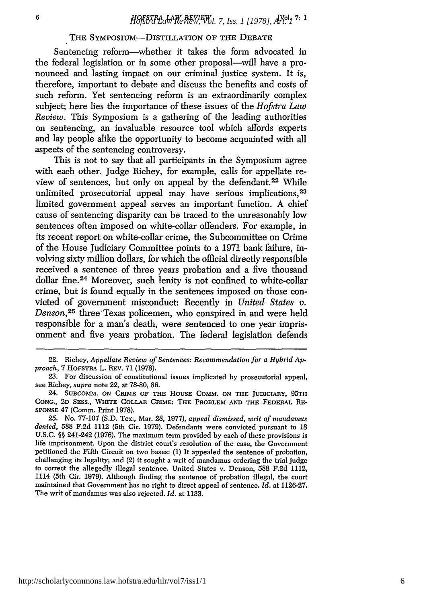#### THE SYMPOSIUM-DISTILLATION OF THE DEBATE

Sentencing reform-whether it takes the form advocated in the federal legislation or in some other proposal—will have a pronounced and lasting impact on our criminal justice system. It is, therefore, important to debate and discuss the benefits and costs of such reform. Yet sentencing reform is an extraordinarily complex subject; here lies the importance of these issues of the *Hofstra Law Review.* This Symposium is a gathering of the leading authorities on sentencing, an invaluable resource tool which affords experts and lay people alike the opportunity to become acquainted with all aspects of the sentencing controversy.

This is not to say that all participants in the Symposium agree with each other. Judge Richey, for example, calls for appellate review of sentences, but only on appeal by the defendant.<sup>22</sup> While unlimited prosecutorial appeal may have serious implications,<sup>23</sup> limited government appeal serves an important function. A chief cause of sentencing disparity can be traced to the unreasonably low sentences often imposed on white-collar offenders. For example, in its recent report on white-collar crime, the Subcommittee on Crime of the House Judiciary Committee points to a 1971 bank failure, involving sixty million dollars, for which the official directly responsible received a sentence of three years probation and a five thousand dollar fine.<sup>24</sup> Moreover, such lenity is not confined to white-collar crime, but is found equally in the sentences imposed on those convicted of government misconduct: Recently in *United States v. Denson,25* three'Texas policemen, who conspired in and were held responsible for a man's death, were sentenced to one year imprisonment and five years probation. The federal legislation defends

<sup>22.</sup> Richey, *Appellate Review of Sentences: Recommendation for a Hybrid Approach,* 7 HoFSTRA L. REV. 71 (1978).

<sup>23.</sup> For discussion of constitutional issues implicated by prosecutorial appeal, see Richey, *supra* note 22, at 78-80, 86.

<sup>24.</sup> **SUBCOMM. ON** CRIME OF **THE HOUSE** COMM. **ON THE** JUDICIARY, **95TH CONG., 2D SESS., WHITE COLLAR** CRIME: **THE PROBLEM AND THE FEDERAL RE-SPONSE** 47 (Comm. Print 1978).

**<sup>25.</sup>** No. **77-107 (S.D.** Tex., Mar. **28, 1977),** *appeal dismissed, writ of mandamus denied,* 588 **F.2d** 1112 (5th Cir. **1979).** Defendants were convicted pursuant to 18 **U.S.C. §§** 241-242 **(1976).** The maximum term provided **by** each of these provisions is life imprisonment. Upon the district court's resolution of the case, the Government petitioned the Fifth Circuit on two bases: **(1)** It appealed the sentence of probation, challenging its legality; and (2) it sought a writ of mandamus ordering the trial judge to correct the allegedly illegal sentence. United States v. Denson, 588 **F.2d** 1112, 1114 (5th Cir. **1979).** Although finding the sentence of probation illegal, the court maintained that Government has no right to direct appeal of sentence. *Id.* at **1126-27.** The writ of mandamus was also rejected. *Id.* at **1133.**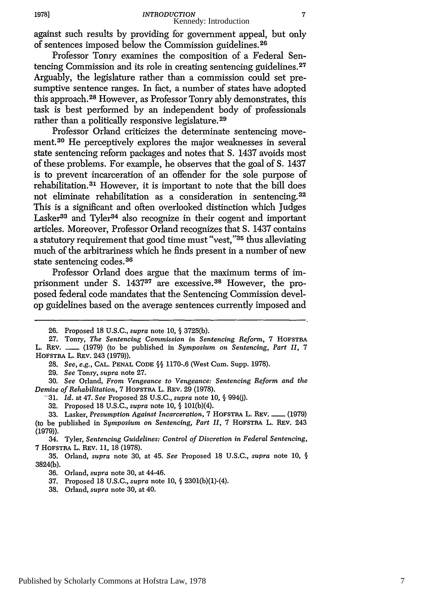against such results by providing for government appeal, but only of sentences imposed below the Commission guidelines.<sup>26</sup>

Professor Tonry examines the composition of a Federal Sentencing Commission and its role in creating sentencing guidelines.<sup>27</sup> Arguably, the legislature rather than a commission could set presumptive sentence ranges. In fact, a number of states have adopted this approach. 28 However, as Professor Tonry ably demonstrates, this task is best performed by an independent body of professionals rather than a politically responsive legislature. <sup>29</sup>

Professor Orland criticizes the determinate sentencing movement.30 He perceptively explores the major weaknesses in several state sentencing reform packages and notes that S. 1437 avoids most of these problems. For example, he observes that the goal of S. 1437 is to prevent incarceration of an offender for the sole purpose of rehabilitation.<sup>31</sup> However, it is important to note that the bill does not eliminate rehabilitation as a consideration in sentencing. **<sup>32</sup>** This is a significant and often overlooked distinction which Judges Lasker<sup>33</sup> and Tyler<sup>34</sup> also recognize in their cogent and important articles. Moreover, Professor Orland recognizes that S. 1437 contains a statutory requirement that good time must "vest,"35 thus alleviating much of the arbitrariness which he finds present in a number of new state sentencing codes. <sup>36</sup>

Professor Orland does argue that the maximum terms of imprisonment under S. 143737 are excessive. 38 However, the proposed federal code mandates that the Sentencing Commission develop guidelines based on the average sentences currently imposed and

29. *See* Tonry, *supra* note 27.

30. *See* Orland, *From Vengeance to Vengeance: Sentencing Reform and the Demise of Rehabilitation,* 7 HOFSTRA L. REv. 29 (1978).

-31. *Id.* at 47. *See* Proposed 28 U.S.C., *supra* note 10, § 994(j).

32. Proposed 18 U.S.C., *supra* note 10, § 101(b)(4).

33. Lasker, *Presumption Against Incarceration,* 7 **HOFSTRA L. REv. -** (1979) (to be published in *Symposium on Sentencing, Part II,* 7 **HOFSTRA** L. REv. 243 (1979)).

34. Tyler, *Sentencing Guidelines: Control of Discretion in Federal Sentencing,* 7 **HOFSTRA** L. REV. 11, 18 (1978).

35. Orland, *supra* note 30, at 45. *See* Proposed 18 U.S.C., *supra* note 10, § 3824(b).

36. Orland, *supra* note 30, at 44-46.

37. Proposed 18 U.S.C., *supra* note 10, § 2301(b)(1)-(4).

38. Orland, *supra* note 30, at 40.

<sup>26.</sup> Proposed 18 U.S.C., *supra* note 10, § 3725(b).

**<sup>27.</sup>** Tonry, *The Sentencing Commission in Sentencing Reform,* 7 **HOFSTRA** L. REV. <sub>-</sub> (1979) (to be published in *Symposium on Sentencing, Part II, 7* HOFSTRA L. REV. 243 **(1979)).**

<sup>28.</sup> *See, e.g.,* **CAL. PENAL CODE** §§ 1170-.6 (West Cum. Supp. 1978).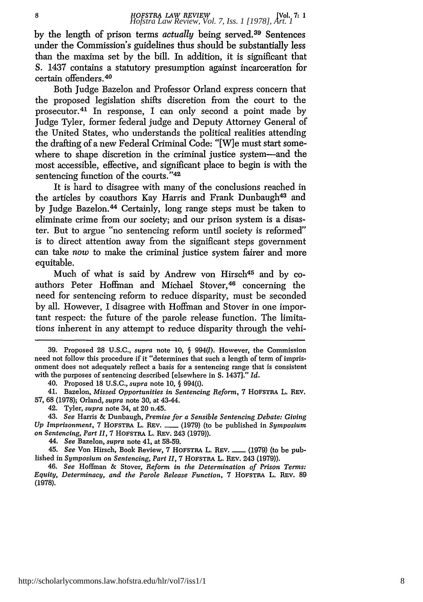by the length of prison terms *actually* being served. 39 Sentences under the Commission's guidelines thus should be substantially less than the maxima set by the bill. In addition, it is significant that S. 1437 contains a statutory presumption against incarceration for certain offenders. <sup>40</sup>

Both Judge Bazelon and Professor Orland express concern that the proposed legislation shifts discretion from the court to the prosecutor. 41 In response, I can only second a point made by Judge Tyler, former federal judge and Deputy Attorney General of the United States, who understands the political realities attending the drafting of a new Federal Criminal Code: "[W]e must start somewhere to shape discretion in the criminal justice system-and the most accessible, effective, and significant place to begin is with the sentencing function of the courts."<sup>42</sup>

It is hard to disagree with many of the conclusions reached in the articles by coauthors Kay Harris and Frank Dunbaugh43 and by Judge Bazelon.<sup>44</sup> Certainly, long range steps must be taken to eliminate crime from our society; and our prison system is a disaster. But to argue "no sentencing reform until society is reformed" is to direct attention away from the significant steps government can take *now* to make the criminal justice system fairer and more equitable.

Much of what is said by Andrew von Hirsch45 and by coauthors Peter Hoffman and Michael Stover, <sup>46</sup> concerning the need for sentencing reform to reduce disparity, must be seconded by all. However, I disagree with Hoffman and Stover in one important respect: the future of the parole release function. The limitations inherent in any attempt to reduce disparity through the vehi-

41. Bazelon, *Missed Opportunities in Sentencing Reform,* 7 HOFSTRA L. REV. 57, 68 (1978); Orland, *supra* note 30, at 43-44.

43. *See* Harris & Dunbaugh, *Premise for a Sensible Sentencing Debate: Giving Up Imprisonment, 7 HOFSTRA L. REV.* \_\_\_ (1979) (to be published in *Symposium on Sentencing, Part II,* 7 HOFSTA L. REV. 243 (1979)).

44. *See* Bazelon, *supra* note 41, at 58-59.

45. *See* Von Hirsch, Book Review, 7 HOFSTRA L. REV. **-** (1979) (to be published in *Symposium on Sentencing, Part 11,* 7 HOFSTRA L. REV. 243 (1979)).

46. *See* Hoffrnan & Stover, *Reform in the Determination of Prison Terms: Equity, Determinacy, and the Parole Release Function,* 7 HOFSTRA L. REV. 89 (1978).

<sup>39.</sup> Proposed 28 U.S.C., *supra* note 10, § 994(l). However, the Commission need not follow this procedure if it "determines that such a length of term of imprisonment does not adequately reflect a basis for a sentencing range that is consistent with the purposes of sentencing described [elsewhere in S. 1437]." *Id.*

<sup>40.</sup> Proposed 18 U.S.C., *supra* note **10,** § 994(i).

<sup>42.</sup> Tyler, *supra* note 34, at 20 n.45.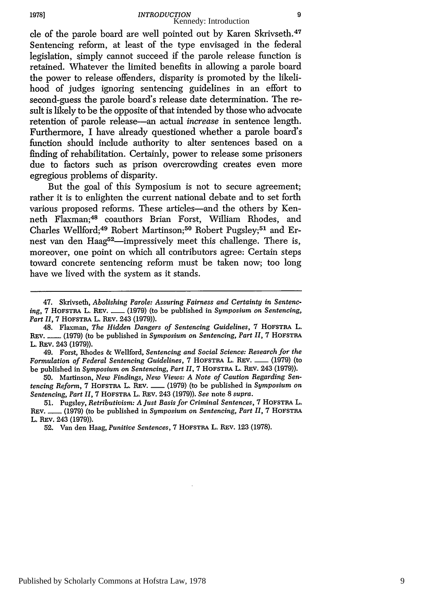cle of the parole board are well pointed out by Karen Skrivseth. <sup>47</sup> Sentencing reform, at least of the type envisaged in the federal legislation, simply cannot succeed if the parole release function is retained. Whatever the limited benefits in allowing a parole board the power to release offenders, disparity is promoted by the likelihood of judges ignoring sentencing guidelines in an effort to second-guess the parole board's release date determination. The result is likely to be the opposite of that intended by those who advocate retention of parole release-an actual *increase* in sentence length. Furthermore, I have already questioned whether a parole board's function should include authority to alter sentences based on a finding of rehabilitation. Certainly, power to release some prisoners due to factors such as prison overcrowding creates even more egregious problems of disparity.

But the goal of this Symposium is not to secure agreement; rather it is to enlighten the current national debate and to set forth various proposed reforms. These articles-and the others by Kenneth Flaxman;48 coauthors Brian Forst, William Rhodes, and Charles Wellford;<sup>49</sup> Robert Martinson;<sup>50</sup> Robert Pugsley;<sup>51</sup> and Ernest van den Haag<sup>52</sup>-impressively meet this challenge. There is, moreover, one point on which all contributors agree: Certain steps toward concrete sentencing reform must be taken now; too long have we lived with the system as it stands.

<sup>47.</sup> Skrivseth, *Abolishing Parole: Assuring Fairness and Certainty in Sentencing,* 7 HOFSTRA L. REV. **-** (1979) (to be published in *Symposium on Sentencing, Part 1H,* 7 HOFSTRA L. REV. 243 (1979)).

<sup>48.</sup> Fla'xman, *The Hidden Dangers of Sentencing Guidelines,* 7 HOFSTRA L. **REv. -** (1979) (to be published in *Symposium on Sentencing, Part II,* 7 HOFSTRA L. **REv.** 243 (1979)).

<sup>49.</sup> Forst, Rhodes & Wellford, *Sentencing and Social Science: Research for the Formulation of Federal Sentencing Guidelines, 7 HOFSTRA L. REV. \_\_ (1979) (to* be published in *Symposium on Sentencing, Part H1,* 7 HOFSTRA L. **REV.** 243 **(1979)).**

<sup>50.</sup> Martinson, *New Findings, New Views: A Note of Caution Regarding Sentencing Reform,* 7 HOFSTRA L. **REv. -** (1979) (to be published in *Symposium on Sentencing, Part II,* 7 HOFSTBA L. **REv.** 243 (1979)). *See* note 8 *supra.*

<sup>51.</sup> Pugsley, *Retributivism: A Just Basis for Criminal Sentences,* 7 HOFSTRA L. REV. **-** (1979) (to be published in *Symposium on Sentencing, Part H1,* 7 HOFSTRA L. RFv. 243 **(1979)).**

<sup>52.</sup> Van den Haag, *Punitive Sentences,* 7 HOFSTRA L. **REv. 123** (1978).